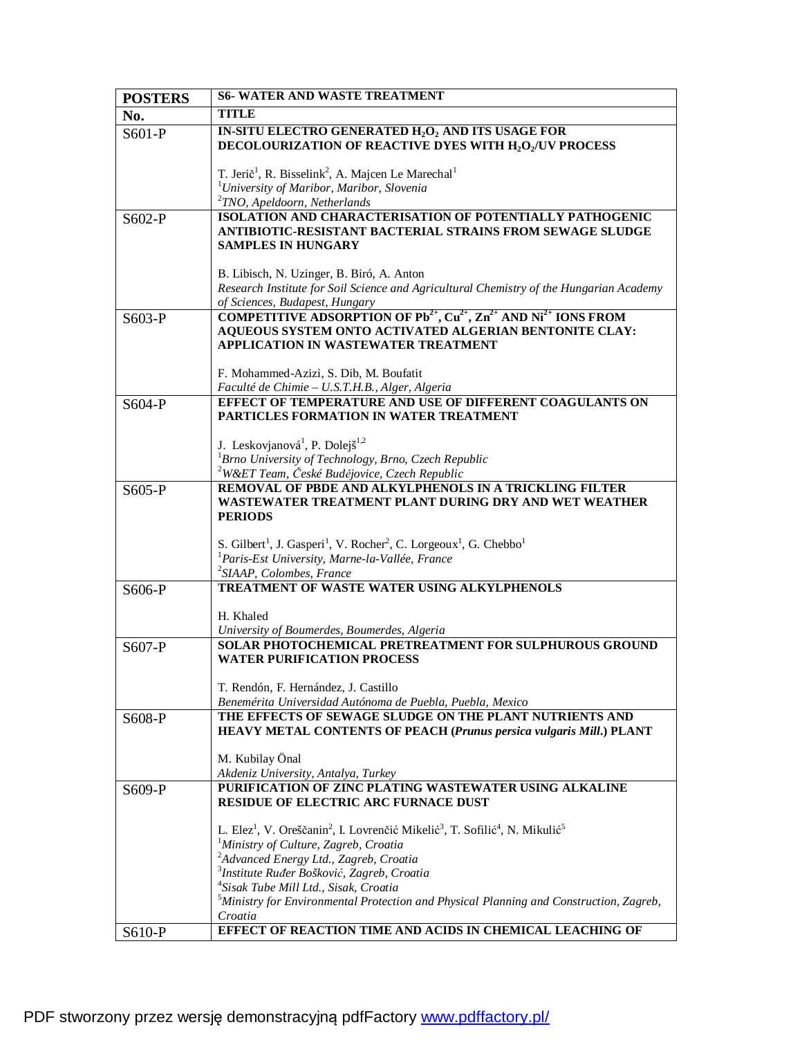| <b>POSTERS</b> | <b>S6- WATER AND WASTE TREATMENT</b>                                                                                                                                                          |
|----------------|-----------------------------------------------------------------------------------------------------------------------------------------------------------------------------------------------|
| No.            | <b>TITLE</b>                                                                                                                                                                                  |
| $S601-P$       | IN-SITU ELECTRO GENERATED H <sub>2</sub> O <sub>2</sub> AND ITS USAGE FOR<br>DECOLOURIZATION OF REACTIVE DYES WITH H2O2/UV PROCESS                                                            |
|                | T. Jerič <sup>1</sup> , R. Bisselink <sup>2</sup> , A. Majcen Le Marechal <sup>1</sup>                                                                                                        |
|                | <sup>1</sup> University of Maribor, Maribor, Slovenia                                                                                                                                         |
|                | $2^2$ TNO, Apeldoorn, Netherlands                                                                                                                                                             |
| S602-P         | ISOLATION AND CHARACTERISATION OF POTENTIALLY PATHOGENIC<br>ANTIBIOTIC-RESISTANT BACTERIAL STRAINS FROM SEWAGE SLUDGE                                                                         |
|                | <b>SAMPLES IN HUNGARY</b>                                                                                                                                                                     |
|                | B. Libisch, N. Uzinger, B. Biró, A. Anton                                                                                                                                                     |
|                | Research Institute for Soil Science and Agricultural Chemistry of the Hungarian Academy                                                                                                       |
|                | of Sciences, Budapest, Hungary                                                                                                                                                                |
| $S603-P$       | COMPETITIVE ADSORPTION OF $Pb^{2+}$ , $Cu^{2+}$ , $Zn^{2+}$ AND Ni <sup>2+</sup> IONS FROM<br>AQUEOUS SYSTEM ONTO ACTIVATED ALGERIAN BENTONITE CLAY:<br>APPLICATION IN WASTEWATER TREATMENT   |
|                | F. Mohammed-Azizi, S. Dib, M. Boufatit<br>Faculté de Chimie - U.S.T.H.B., Alger, Algeria                                                                                                      |
| S604-P         | EFFECT OF TEMPERATURE AND USE OF DIFFERENT COAGULANTS ON                                                                                                                                      |
|                | PARTICLES FORMATION IN WATER TREATMENT                                                                                                                                                        |
|                | J. Leskovjanová <sup>1</sup> , P. Dolejš <sup>1,2</sup>                                                                                                                                       |
|                | ${}^{1}$ Brno University of Technology, Brno, Czech Republic                                                                                                                                  |
|                | <sup>2</sup> W&ET Team, České Budějovice, Czech Republic                                                                                                                                      |
| S605-P         | REMOVAL OF PBDE AND ALKYLPHENOLS IN A TRICKLING FILTER<br>WASTEWATER TREATMENT PLANT DURING DRY AND WET WEATHER<br><b>PERIODS</b>                                                             |
|                | S. Gilbert <sup>1</sup> , J. Gasperi <sup>1</sup> , V. Rocher <sup>2</sup> , C. Lorgeoux <sup>1</sup> , G. Chebbo <sup>1</sup>                                                                |
|                | <sup>1</sup> Paris-Est University, Marne-la-Vallée, France                                                                                                                                    |
|                | <sup>2</sup> SIAAP, Colombes, France                                                                                                                                                          |
| S606-P         | <b>TREATMENT OF WASTE WATER USING ALKYLPHENOLS</b>                                                                                                                                            |
|                | H. Khaled                                                                                                                                                                                     |
|                | University of Boumerdes, Boumerdes, Algeria<br><b>SOLAR PHOTOCHEMICAL PRETREATMENT FOR SULPHUROUS GROUND</b>                                                                                  |
| S607-P         | <b>WATER PURIFICATION PROCESS</b>                                                                                                                                                             |
|                | T. Rendón, F. Hernández, J. Castillo                                                                                                                                                          |
|                | Benemérita Universidad Autónoma de Puebla, Puebla, Mexico                                                                                                                                     |
| S608-P         | THE EFFECTS OF SEWAGE SLUDGE ON THE PLANT NUTRIENTS AND<br><b>HEAVY METAL CONTENTS OF PEACH (Prunus persica vulgaris Mill.) PLANT</b>                                                         |
|                | M. Kubilay Önal<br>Akdeniz University, Antalya, Turkey                                                                                                                                        |
| S609-P         | PURIFICATION OF ZINC PLATING WASTEWATER USING ALKALINE<br><b>RESIDUE OF ELECTRIC ARC FURNACE DUST</b>                                                                                         |
|                | L. Elez <sup>1</sup> , V. Oreščanin <sup>2</sup> , I. Lovrenčić Mikelić <sup>3</sup> , T. Sofilić <sup>4</sup> , N. Mikulić <sup>5</sup><br><sup>1</sup> Ministry of Culture, Zagreb, Croatia |
|                | <sup>2</sup> Advanced Energy Ltd., Zagreb, Croatia                                                                                                                                            |
|                | <sup>3</sup> Institute Ruđer Bošković, Zagreb, Croatia                                                                                                                                        |
|                | <sup>4</sup> Sisak Tube Mill Ltd., Sisak, Croatia                                                                                                                                             |
|                | <sup>5</sup> Ministry for Environmental Protection and Physical Planning and Construction, Zagreb,<br>Croatia                                                                                 |
| S610-P         | EFFECT OF REACTION TIME AND ACIDS IN CHEMICAL LEACHING OF                                                                                                                                     |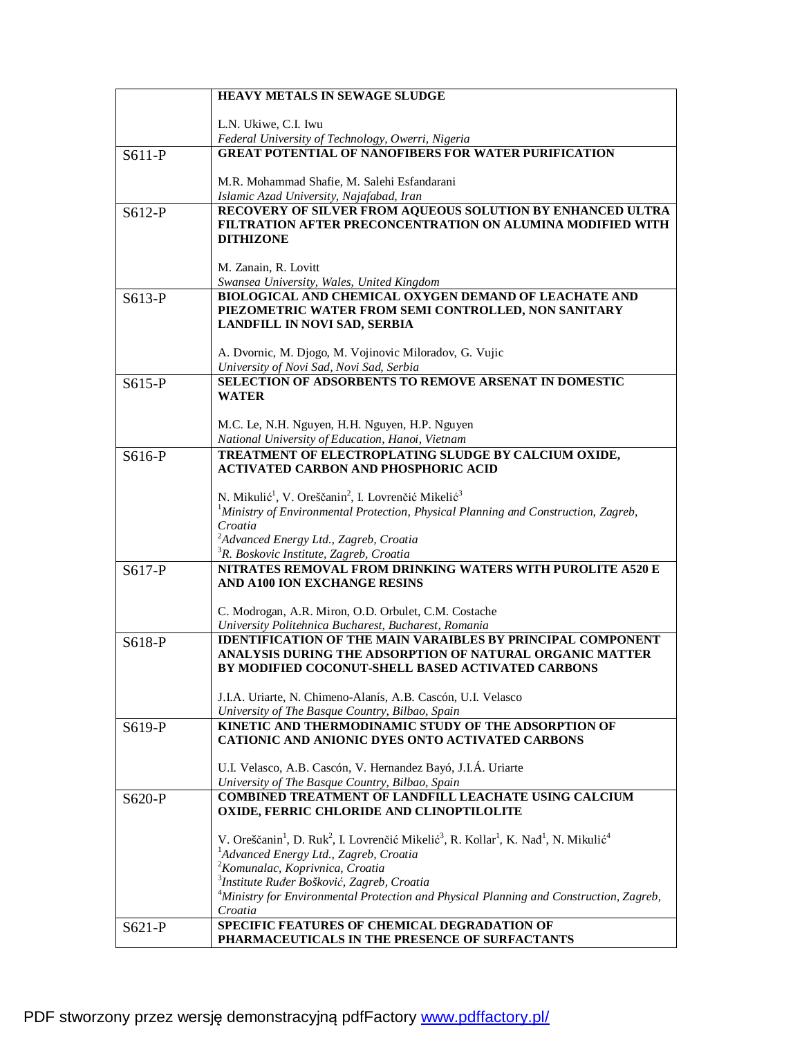|          | <b>HEAVY METALS IN SEWAGE SLUDGE</b>                                                                                                                         |
|----------|--------------------------------------------------------------------------------------------------------------------------------------------------------------|
|          |                                                                                                                                                              |
|          | L.N. Ukiwe, C.I. Iwu<br>Federal University of Technology, Owerri, Nigeria                                                                                    |
| $S611-P$ | <b>GREAT POTENTIAL OF NANOFIBERS FOR WATER PURIFICATION</b>                                                                                                  |
|          |                                                                                                                                                              |
|          | M.R. Mohammad Shafie, M. Salehi Esfandarani                                                                                                                  |
|          | Islamic Azad University, Najafabad, Iran                                                                                                                     |
| S612-P   | RECOVERY OF SILVER FROM AQUEOUS SOLUTION BY ENHANCED ULTRA                                                                                                   |
|          | FILTRATION AFTER PRECONCENTRATION ON ALUMINA MODIFIED WITH                                                                                                   |
|          | <b>DITHIZONE</b>                                                                                                                                             |
|          |                                                                                                                                                              |
|          | M. Zanain, R. Lovitt                                                                                                                                         |
|          | Swansea University, Wales, United Kingdom                                                                                                                    |
| S613-P   | BIOLOGICAL AND CHEMICAL OXYGEN DEMAND OF LEACHATE AND                                                                                                        |
|          | PIEZOMETRIC WATER FROM SEMI CONTROLLED, NON SANITARY<br><b>LANDFILL IN NOVI SAD, SERBIA</b>                                                                  |
|          |                                                                                                                                                              |
|          | A. Dvornic, M. Djogo, M. Vojinovic Miloradov, G. Vujic                                                                                                       |
|          | University of Novi Sad, Novi Sad, Serbia                                                                                                                     |
| S615-P   | SELECTION OF ADSORBENTS TO REMOVE ARSENAT IN DOMESTIC                                                                                                        |
|          | <b>WATER</b>                                                                                                                                                 |
|          |                                                                                                                                                              |
|          | M.C. Le, N.H. Nguyen, H.H. Nguyen, H.P. Nguyen                                                                                                               |
|          | National University of Education, Hanoi, Vietnam                                                                                                             |
| S616-P   | TREATMENT OF ELECTROPLATING SLUDGE BY CALCIUM OXIDE,                                                                                                         |
|          | <b>ACTIVATED CARBON AND PHOSPHORIC ACID</b>                                                                                                                  |
|          | N. Mikulić <sup>1</sup> , V. Oreščanin <sup>2</sup> , I. Lovrenčić Mikelić <sup>3</sup>                                                                      |
|          | $1$ Ministry of Environmental Protection, Physical Planning and Construction, Zagreb,                                                                        |
|          | Croatia                                                                                                                                                      |
|          | <sup>2</sup> Advanced Energy Ltd., Zagreb, Croatia                                                                                                           |
|          | <sup>3</sup> R. Boskovic Institute, Zagreb, Croatia                                                                                                          |
| S617-P   | NITRATES REMOVAL FROM DRINKING WATERS WITH PUROLITE A520 E                                                                                                   |
|          | AND A100 ION EXCHANGE RESINS                                                                                                                                 |
|          |                                                                                                                                                              |
|          | C. Modrogan, A.R. Miron, O.D. Orbulet, C.M. Costache                                                                                                         |
|          | University Politehnica Bucharest, Bucharest, Romania<br><b>IDENTIFICATION OF THE MAIN VARAIBLES BY PRINCIPAL COMPONENT</b>                                   |
| S618-P   | ANALYSIS DURING THE ADSORPTION OF NATURAL ORGANIC MATTER                                                                                                     |
|          | BY MODIFIED COCONUT-SHELL BASED ACTIVATED CARBONS                                                                                                            |
|          |                                                                                                                                                              |
|          | J.I.A. Uriarte, N. Chimeno-Alanís, A.B. Cascón, U.I. Velasco                                                                                                 |
|          | University of The Basque Country, Bilbao, Spain                                                                                                              |
| S619-P   | KINETIC AND THERMODINAMIC STUDY OF THE ADSORPTION OF                                                                                                         |
|          | CATIONIC AND ANIONIC DYES ONTO ACTIVATED CARBONS                                                                                                             |
|          |                                                                                                                                                              |
|          | U.I. Velasco, A.B. Cascón, V. Hernandez Bayó, J.I.Á. Uriarte<br>University of The Basque Country, Bilbao, Spain                                              |
| S620-P   | <b>COMBINED TREATMENT OF LANDFILL LEACHATE USING CALCIUM</b>                                                                                                 |
|          | OXIDE, FERRIC CHLORIDE AND CLINOPTILOLITE                                                                                                                    |
|          |                                                                                                                                                              |
|          | V. Oreščanin <sup>1</sup> , D. Ruk <sup>2</sup> , I. Lovrenčić Mikelić <sup>3</sup> , R. Kollar <sup>1</sup> , K. Nađ <sup>1</sup> , N. Mikulić <sup>4</sup> |
|          | <sup>1</sup> Advanced Energy Ltd., Zagreb, Croatia                                                                                                           |
|          | <sup>2</sup> Komunalac, Koprivnica, Croatia                                                                                                                  |
|          | <sup>3</sup> Institute Ruđer Bošković, Zagreb, Croatia                                                                                                       |
|          | <sup>4</sup> Ministry for Environmental Protection and Physical Planning and Construction, Zagreb,                                                           |
|          | Croatia<br>SPECIFIC FEATURES OF CHEMICAL DEGRADATION OF                                                                                                      |
| S621-P   | PHARMACEUTICALS IN THE PRESENCE OF SURFACTANTS                                                                                                               |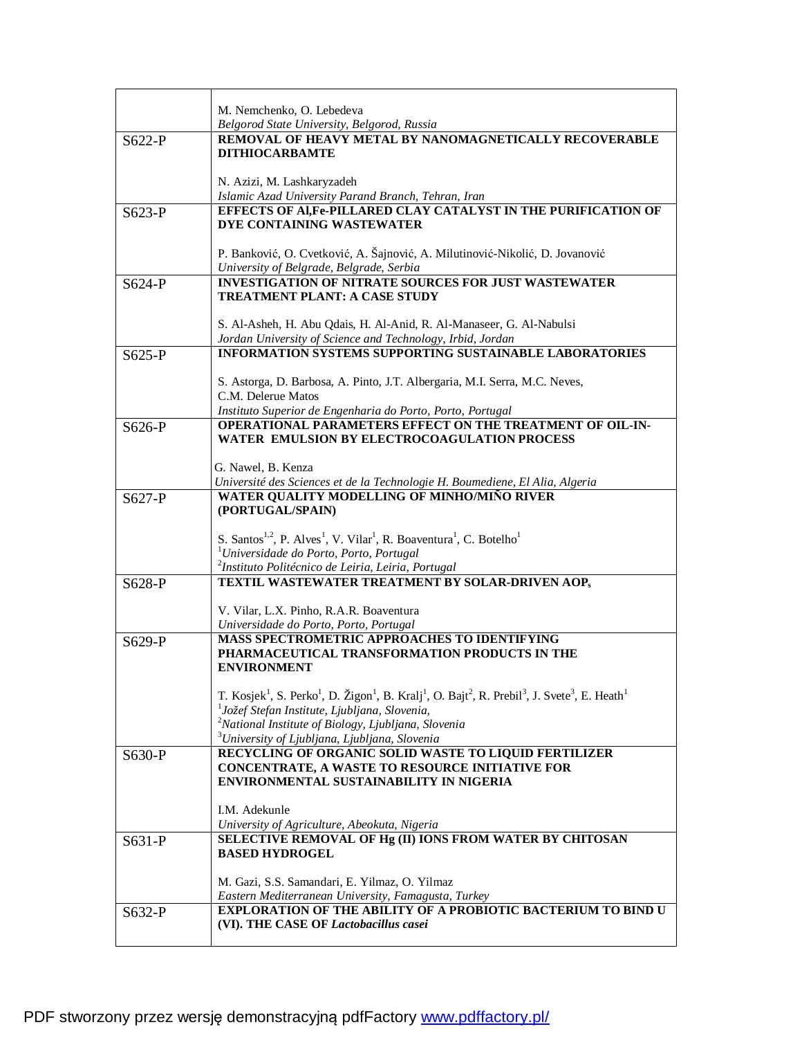|          | M. Nemchenko, O. Lebedeva<br>Belgorod State University, Belgorod, Russia                                                                                                                       |
|----------|------------------------------------------------------------------------------------------------------------------------------------------------------------------------------------------------|
| S622-P   | REMOVAL OF HEAVY METAL BY NANOMAGNETICALLY RECOVERABLE                                                                                                                                         |
|          | <b>DITHIOCARBAMTE</b>                                                                                                                                                                          |
|          |                                                                                                                                                                                                |
|          | N. Azizi, M. Lashkaryzadeh<br>Islamic Azad University Parand Branch, Tehran, Iran                                                                                                              |
| $S623-P$ | <b>EFFECTS OF ALFe-PILLARED CLAY CATALYST IN THE PURIFICATION OF</b>                                                                                                                           |
|          | DYE CONTAINING WASTEWATER                                                                                                                                                                      |
|          |                                                                                                                                                                                                |
|          | P. Banković, O. Cvetković, A. Šajnović, A. Milutinović-Nikolić, D. Jovanović                                                                                                                   |
| $S624-P$ | University of Belgrade, Belgrade, Serbia<br><b>INVESTIGATION OF NITRATE SOURCES FOR JUST WASTEWATER</b>                                                                                        |
|          | <b>TREATMENT PLANT: A CASE STUDY</b>                                                                                                                                                           |
|          |                                                                                                                                                                                                |
|          | S. Al-Asheh, H. Abu Qdais, H. Al-Anid, R. Al-Manaseer, G. Al-Nabulsi                                                                                                                           |
|          | Jordan University of Science and Technology, Irbid, Jordan<br><b>INFORMATION SYSTEMS SUPPORTING SUSTAINABLE LABORATORIES</b>                                                                   |
| $S625-P$ |                                                                                                                                                                                                |
|          | S. Astorga, D. Barbosa, A. Pinto, J.T. Albergaria, M.I. Serra, M.C. Neves,                                                                                                                     |
|          | C.M. Delerue Matos                                                                                                                                                                             |
|          | Instituto Superior de Engenharia do Porto, Porto, Portugal                                                                                                                                     |
| $S626-P$ | <b>OPERATIONAL PARAMETERS EFFECT ON THE TREATMENT OF OIL-IN-</b><br>WATER EMULSION BY ELECTROCOAGULATION PROCESS                                                                               |
|          |                                                                                                                                                                                                |
|          | G. Nawel, B. Kenza                                                                                                                                                                             |
|          | Université des Sciences et de la Technologie H. Boumediene, El Alia, Algeria                                                                                                                   |
| $S627-P$ | WATER QUALITY MODELLING OF MINHO/MIÑO RIVER<br>(PORTUGAL/SPAIN)                                                                                                                                |
|          |                                                                                                                                                                                                |
|          | S. Santos <sup>1,2</sup> , P. Alves <sup>1</sup> , V. Vilar <sup>1</sup> , R. Boaventura <sup>1</sup> , C. Botelho <sup>1</sup>                                                                |
|          | <sup>1</sup> Universidade do Porto, Porto, Portugal                                                                                                                                            |
|          | <sup>2</sup> Instituto Politécnico de Leiria, Leiria, Portugal                                                                                                                                 |
| S628-P   | TEXTIL WASTEWATER TREATMENT BY SOLAR-DRIVEN AOP,                                                                                                                                               |
|          | V. Vilar, L.X. Pinho, R.A.R. Boaventura                                                                                                                                                        |
|          | Universidade do Porto, Porto, Portugal                                                                                                                                                         |
| $S629-P$ | <b>MASS SPECTROMETRIC APPROACHES TO IDENTIFYING</b>                                                                                                                                            |
|          | PHARMACEUTICAL TRANSFORMATION PRODUCTS IN THE<br><b>ENVIRONMENT</b>                                                                                                                            |
|          |                                                                                                                                                                                                |
|          | T. Kosjek <sup>1</sup> , S. Perko <sup>1</sup> , D. Žigon <sup>1</sup> , B. Kralj <sup>1</sup> , O. Bajt <sup>2</sup> , R. Prebil <sup>3</sup> , J. Svete <sup>3</sup> , E. Heath <sup>1</sup> |
|          | <sup>1</sup> Jožef Stefan Institute, Ljubljana, Slovenia,                                                                                                                                      |
|          | $2$ National Institute of Biology, Ljubljana, Slovenia<br><sup>3</sup> University of Ljubljana, Ljubljana, Slovenia                                                                            |
| S630-P   | RECYCLING OF ORGANIC SOLID WASTE TO LIQUID FERTILIZER                                                                                                                                          |
|          | CONCENTRATE, A WASTE TO RESOURCE INITIATIVE FOR                                                                                                                                                |
|          | ENVIRONMENTAL SUSTAINABILITY IN NIGERIA                                                                                                                                                        |
|          |                                                                                                                                                                                                |
|          | I.M. Adekunle<br>University of Agriculture, Abeokuta, Nigeria                                                                                                                                  |
| S631-P   | SELECTIVE REMOVAL OF Hg (II) IONS FROM WATER BY CHITOSAN                                                                                                                                       |
|          | <b>BASED HYDROGEL</b>                                                                                                                                                                          |
|          |                                                                                                                                                                                                |
|          | M. Gazi, S.S. Samandari, E. Yilmaz, O. Yilmaz                                                                                                                                                  |
| S632-P   | Eastern Mediterranean University, Famagusta, Turkey<br><b>EXPLORATION OF THE ABILITY OF A PROBIOTIC BACTERIUM TO BIND U</b>                                                                    |
|          | (VI). THE CASE OF Lactobacillus casei                                                                                                                                                          |
|          |                                                                                                                                                                                                |